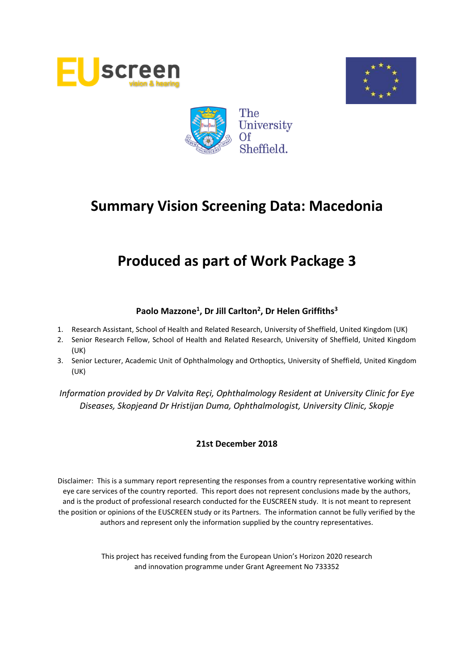





# **Produced as part of Work Package 3**

# **Paolo Mazzone<sup>1</sup> , Dr Jill Carlton<sup>2</sup> , Dr Helen Griffiths<sup>3</sup>**

- 1. Research Assistant, School of Health and Related Research, University of Sheffield, United Kingdom (UK)
- 2. Senior Research Fellow, School of Health and Related Research, University of Sheffield, United Kingdom (UK)
- 3. Senior Lecturer, Academic Unit of Ophthalmology and Orthoptics, University of Sheffield, United Kingdom (UK)

*Information provided by Dr Valvita Reçi, Ophthalmology Resident at University Clinic for Eye Diseases, Skopjeand Dr Hristijan Duma, Ophthalmologist, University Clinic, Skopje*

### **21st December 2018**

Disclaimer: This is a summary report representing the responses from a country representative working within eye care services of the country reported. This report does not represent conclusions made by the authors, and is the product of professional research conducted for the EUSCREEN study. It is not meant to represent the position or opinions of the EUSCREEN study or its Partners. The information cannot be fully verified by the authors and represent only the information supplied by the country representatives.

> This project has received funding from the European Union's Horizon 2020 research and innovation programme under Grant Agreement No 733352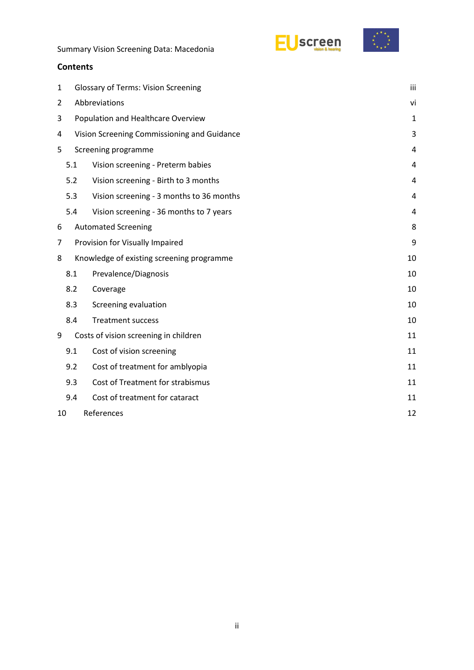EUscreen



Summary Vision Screening Data: Macedonia

### **Contents**

|                |                                             |                                           | iii            |  |  |
|----------------|---------------------------------------------|-------------------------------------------|----------------|--|--|
| 1              | <b>Glossary of Terms: Vision Screening</b>  |                                           |                |  |  |
| $\overline{2}$ | Abbreviations                               |                                           |                |  |  |
| 3              | Population and Healthcare Overview          |                                           |                |  |  |
| 4              | Vision Screening Commissioning and Guidance |                                           |                |  |  |
| 5              |                                             | Screening programme                       | 4              |  |  |
|                | 5.1                                         | Vision screening - Preterm babies         | 4              |  |  |
|                | 5.2                                         | Vision screening - Birth to 3 months      | $\overline{4}$ |  |  |
|                | 5.3                                         | Vision screening - 3 months to 36 months  | 4              |  |  |
|                | 5.4                                         | Vision screening - 36 months to 7 years   | 4              |  |  |
| 6              |                                             | <b>Automated Screening</b>                | 8              |  |  |
| 7              | Provision for Visually Impaired             |                                           |                |  |  |
| 8              |                                             | Knowledge of existing screening programme | 10             |  |  |
|                | 8.1                                         | Prevalence/Diagnosis                      | 10             |  |  |
|                | 8.2                                         | Coverage                                  | 10             |  |  |
|                | 8.3                                         | Screening evaluation                      | 10             |  |  |
|                | 8.4                                         | <b>Treatment success</b>                  | 10             |  |  |
| 9              |                                             | Costs of vision screening in children     | 11             |  |  |
|                | 9.1                                         | Cost of vision screening                  | 11             |  |  |
|                | 9.2                                         | Cost of treatment for amblyopia           | 11             |  |  |
|                | 9.3                                         | Cost of Treatment for strabismus          | 11             |  |  |
|                | 9.4                                         | Cost of treatment for cataract            | 11             |  |  |
| 10             |                                             | References                                | 12             |  |  |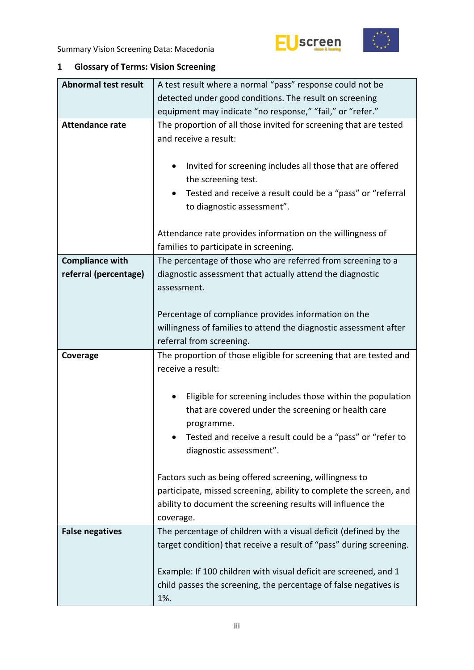



# <span id="page-2-0"></span>**1 Glossary of Terms: Vision Screening**

| <b>Abnormal test result</b> | A test result where a normal "pass" response could not be                                                                                                                                                                      |  |  |  |  |  |
|-----------------------------|--------------------------------------------------------------------------------------------------------------------------------------------------------------------------------------------------------------------------------|--|--|--|--|--|
|                             | detected under good conditions. The result on screening                                                                                                                                                                        |  |  |  |  |  |
|                             | equipment may indicate "no response," "fail," or "refer."                                                                                                                                                                      |  |  |  |  |  |
| <b>Attendance rate</b>      | The proportion of all those invited for screening that are tested<br>and receive a result:                                                                                                                                     |  |  |  |  |  |
|                             | Invited for screening includes all those that are offered<br>$\bullet$<br>the screening test.<br>Tested and receive a result could be a "pass" or "referral<br>٠                                                               |  |  |  |  |  |
|                             | to diagnostic assessment".                                                                                                                                                                                                     |  |  |  |  |  |
|                             | Attendance rate provides information on the willingness of<br>families to participate in screening.                                                                                                                            |  |  |  |  |  |
| <b>Compliance with</b>      | The percentage of those who are referred from screening to a                                                                                                                                                                   |  |  |  |  |  |
| referral (percentage)       | diagnostic assessment that actually attend the diagnostic<br>assessment.                                                                                                                                                       |  |  |  |  |  |
|                             | Percentage of compliance provides information on the                                                                                                                                                                           |  |  |  |  |  |
|                             | willingness of families to attend the diagnostic assessment after                                                                                                                                                              |  |  |  |  |  |
|                             | referral from screening.                                                                                                                                                                                                       |  |  |  |  |  |
|                             |                                                                                                                                                                                                                                |  |  |  |  |  |
| Coverage                    | The proportion of those eligible for screening that are tested and<br>receive a result:                                                                                                                                        |  |  |  |  |  |
|                             | Eligible for screening includes those within the population<br>٠<br>that are covered under the screening or health care<br>programme.<br>Tested and receive a result could be a "pass" or "refer to<br>diagnostic assessment". |  |  |  |  |  |
|                             | Factors such as being offered screening, willingness to<br>participate, missed screening, ability to complete the screen, and<br>ability to document the screening results will influence the<br>coverage.                     |  |  |  |  |  |
| <b>False negatives</b>      | The percentage of children with a visual deficit (defined by the<br>target condition) that receive a result of "pass" during screening.                                                                                        |  |  |  |  |  |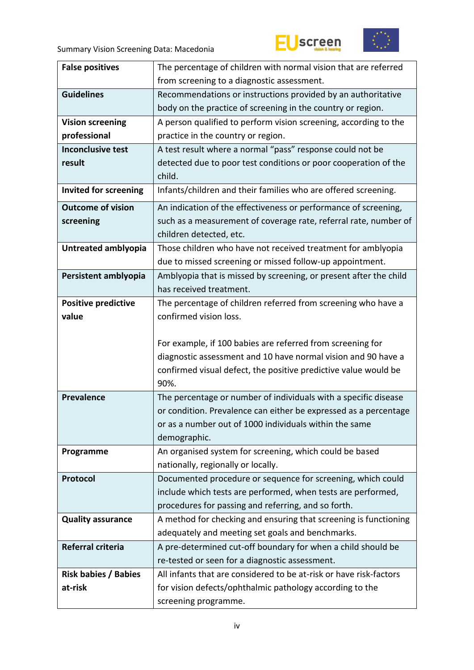



| <b>False positives</b>      | The percentage of children with normal vision that are referred                  |  |  |  |  |
|-----------------------------|----------------------------------------------------------------------------------|--|--|--|--|
|                             | from screening to a diagnostic assessment.                                       |  |  |  |  |
| <b>Guidelines</b>           | Recommendations or instructions provided by an authoritative                     |  |  |  |  |
|                             | body on the practice of screening in the country or region.                      |  |  |  |  |
| <b>Vision screening</b>     | A person qualified to perform vision screening, according to the                 |  |  |  |  |
| professional                | practice in the country or region.                                               |  |  |  |  |
| <b>Inconclusive test</b>    | A test result where a normal "pass" response could not be                        |  |  |  |  |
| result                      | detected due to poor test conditions or poor cooperation of the                  |  |  |  |  |
|                             | child.                                                                           |  |  |  |  |
| Invited for screening       | Infants/children and their families who are offered screening.                   |  |  |  |  |
| <b>Outcome of vision</b>    | An indication of the effectiveness or performance of screening,                  |  |  |  |  |
| screening                   | such as a measurement of coverage rate, referral rate, number of                 |  |  |  |  |
|                             | children detected, etc.                                                          |  |  |  |  |
| Untreated amblyopia         | Those children who have not received treatment for amblyopia                     |  |  |  |  |
|                             | due to missed screening or missed follow-up appointment.                         |  |  |  |  |
| Persistent amblyopia        | Amblyopia that is missed by screening, or present after the child                |  |  |  |  |
|                             | has received treatment.                                                          |  |  |  |  |
| <b>Positive predictive</b>  | The percentage of children referred from screening who have a                    |  |  |  |  |
| value                       | confirmed vision loss.                                                           |  |  |  |  |
|                             |                                                                                  |  |  |  |  |
|                             | For example, if 100 babies are referred from screening for                       |  |  |  |  |
|                             | diagnostic assessment and 10 have normal vision and 90 have a                    |  |  |  |  |
|                             | confirmed visual defect, the positive predictive value would be                  |  |  |  |  |
|                             | 90%.                                                                             |  |  |  |  |
| <b>Prevalence</b>           |                                                                                  |  |  |  |  |
|                             | The percentage or number of individuals with a specific disease                  |  |  |  |  |
|                             | or condition. Prevalence can either be expressed as a percentage                 |  |  |  |  |
|                             | or as a number out of 1000 individuals within the same                           |  |  |  |  |
|                             | demographic.                                                                     |  |  |  |  |
| Programme                   | An organised system for screening, which could be based                          |  |  |  |  |
|                             | nationally, regionally or locally.                                               |  |  |  |  |
| Protocol                    | Documented procedure or sequence for screening, which could                      |  |  |  |  |
|                             | include which tests are performed, when tests are performed,                     |  |  |  |  |
|                             | procedures for passing and referring, and so forth.                              |  |  |  |  |
| <b>Quality assurance</b>    | A method for checking and ensuring that screening is functioning                 |  |  |  |  |
|                             | adequately and meeting set goals and benchmarks.                                 |  |  |  |  |
| Referral criteria           | A pre-determined cut-off boundary for when a child should be                     |  |  |  |  |
|                             | re-tested or seen for a diagnostic assessment.                                   |  |  |  |  |
| <b>Risk babies / Babies</b> | All infants that are considered to be at-risk or have risk-factors               |  |  |  |  |
| at-risk                     | for vision defects/ophthalmic pathology according to the<br>screening programme. |  |  |  |  |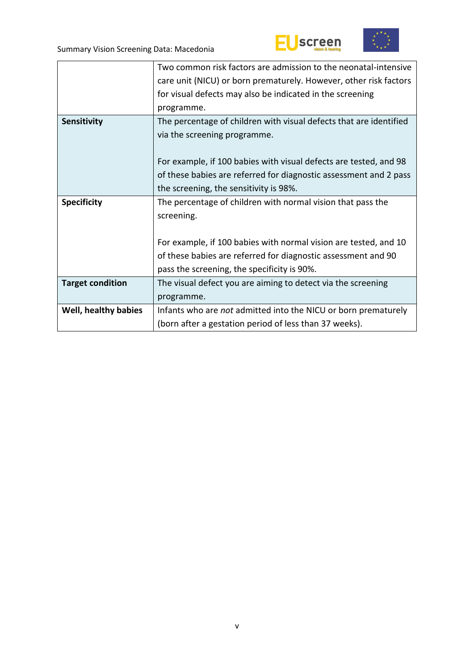



|                         | Two common risk factors are admission to the neonatal-intensive    |  |  |  |  |
|-------------------------|--------------------------------------------------------------------|--|--|--|--|
|                         | care unit (NICU) or born prematurely. However, other risk factors  |  |  |  |  |
|                         | for visual defects may also be indicated in the screening          |  |  |  |  |
|                         | programme.                                                         |  |  |  |  |
| <b>Sensitivity</b>      | The percentage of children with visual defects that are identified |  |  |  |  |
|                         | via the screening programme.                                       |  |  |  |  |
|                         |                                                                    |  |  |  |  |
|                         | For example, if 100 babies with visual defects are tested, and 98  |  |  |  |  |
|                         | of these babies are referred for diagnostic assessment and 2 pass  |  |  |  |  |
|                         | the screening, the sensitivity is 98%.                             |  |  |  |  |
| <b>Specificity</b>      | The percentage of children with normal vision that pass the        |  |  |  |  |
|                         | screening.                                                         |  |  |  |  |
|                         |                                                                    |  |  |  |  |
|                         | For example, if 100 babies with normal vision are tested, and 10   |  |  |  |  |
|                         | of these babies are referred for diagnostic assessment and 90      |  |  |  |  |
|                         | pass the screening, the specificity is 90%.                        |  |  |  |  |
| <b>Target condition</b> | The visual defect you are aiming to detect via the screening       |  |  |  |  |
|                         | programme.                                                         |  |  |  |  |
| Well, healthy babies    | Infants who are not admitted into the NICU or born prematurely     |  |  |  |  |
|                         | (born after a gestation period of less than 37 weeks).             |  |  |  |  |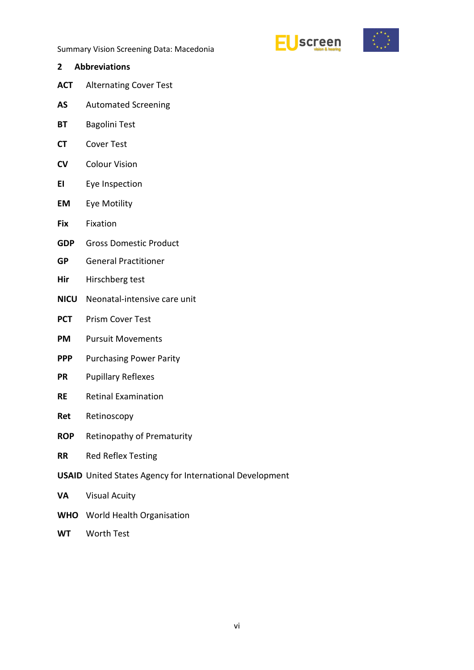



- <span id="page-5-0"></span>**2 Abbreviations**
- **ACT** Alternating Cover Test
- **AS** Automated Screening
- **BT** Bagolini Test
- **CT** Cover Test
- **CV** Colour Vision
- **EI** Eye Inspection
- **EM** Eye Motility
- **Fix** Fixation
- **GDP** Gross Domestic Product
- **GP** General Practitioner
- **Hir** Hirschberg test
- **NICU** Neonatal-intensive care unit
- **PCT** Prism Cover Test
- **PM** Pursuit Movements
- **PPP** Purchasing Power Parity
- **PR** Pupillary Reflexes
- **RE** Retinal Examination
- **Ret** Retinoscopy
- **ROP** Retinopathy of Prematurity
- **RR** Red Reflex Testing
- **USAID** United States Agency for International Development
- **VA** Visual Acuity
- **WHO** World Health Organisation
- **WT** Worth Test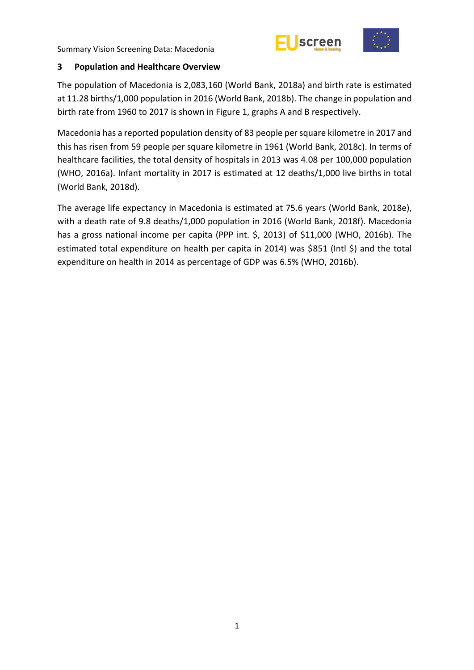



### <span id="page-6-0"></span>**3 Population and Healthcare Overview**

The population of Macedonia is 2,083,160 (World Bank, 2018a) and birth rate is estimated at 11.28 births/1,000 population in 2016 (World Bank, 2018b). The change in population and birth rate from 1960 to 2017 is shown in Figure 1, graphs A and B respectively.

Macedonia has a reported population density of 83 people per square kilometre in 2017 and this has risen from 59 people per square kilometre in 1961 (World Bank, 2018c). In terms of healthcare facilities, the total density of hospitals in 2013 was 4.08 per 100,000 population (WHO, 2016a). Infant mortality in 2017 is estimated at 12 deaths/1,000 live births in total (World Bank, 2018d).

The average life expectancy in Macedonia is estimated at 75.6 years (World Bank, 2018e), with a death rate of 9.8 deaths/1,000 population in 2016 (World Bank, 2018f). Macedonia has a gross national income per capita (PPP int. \$, 2013) of \$11,000 (WHO, 2016b). The estimated total expenditure on health per capita in 2014) was \$851 (Intl \$) and the total expenditure on health in 2014 as percentage of GDP was 6.5% (WHO, 2016b).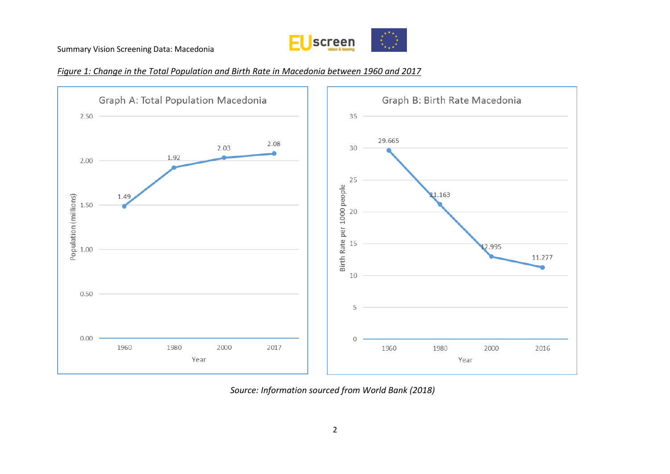

### *Figure 1: Change in the Total Population and Birth Rate in Macedonia between 1960 and 2017*



*Source: Information sourced from World Bank (2018)*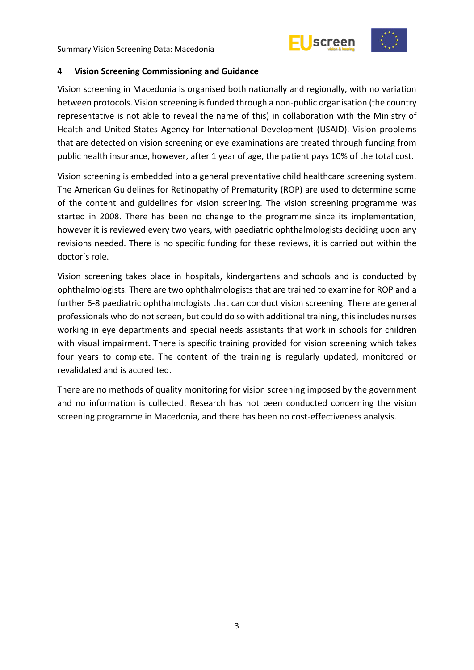



### <span id="page-8-0"></span>**4 Vision Screening Commissioning and Guidance**

Vision screening in Macedonia is organised both nationally and regionally, with no variation between protocols. Vision screening is funded through a non-public organisation (the country representative is not able to reveal the name of this) in collaboration with the Ministry of Health and United States Agency for International Development (USAID). Vision problems that are detected on vision screening or eye examinations are treated through funding from public health insurance, however, after 1 year of age, the patient pays 10% of the total cost.

Vision screening is embedded into a general preventative child healthcare screening system. The American Guidelines for Retinopathy of Prematurity (ROP) are used to determine some of the content and guidelines for vision screening. The vision screening programme was started in 2008. There has been no change to the programme since its implementation, however it is reviewed every two years, with paediatric ophthalmologists deciding upon any revisions needed. There is no specific funding for these reviews, it is carried out within the doctor's role.

Vision screening takes place in hospitals, kindergartens and schools and is conducted by ophthalmologists. There are two ophthalmologists that are trained to examine for ROP and a further 6-8 paediatric ophthalmologists that can conduct vision screening. There are general professionals who do not screen, but could do so with additional training, this includes nurses working in eye departments and special needs assistants that work in schools for children with visual impairment. There is specific training provided for vision screening which takes four years to complete. The content of the training is regularly updated, monitored or revalidated and is accredited.

There are no methods of quality monitoring for vision screening imposed by the government and no information is collected. Research has not been conducted concerning the vision screening programme in Macedonia, and there has been no cost-effectiveness analysis.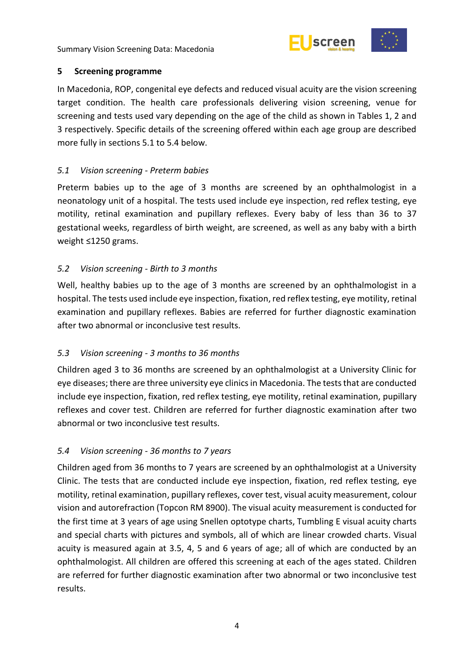



### <span id="page-9-0"></span>**5 Screening programme**

In Macedonia, ROP, congenital eye defects and reduced visual acuity are the vision screening target condition. The health care professionals delivering vision screening, venue for screening and tests used vary depending on the age of the child as shown in Tables 1, 2 and 3 respectively. Specific details of the screening offered within each age group are described more fully in sections 5.1 to 5.4 below.

# <span id="page-9-1"></span>*5.1 Vision screening - Preterm babies*

Preterm babies up to the age of 3 months are screened by an ophthalmologist in a neonatology unit of a hospital. The tests used include eye inspection, red reflex testing, eye motility, retinal examination and pupillary reflexes. Every baby of less than 36 to 37 gestational weeks, regardless of birth weight, are screened, as well as any baby with a birth weight ≤1250 grams.

### <span id="page-9-2"></span>*5.2 Vision screening - Birth to 3 months*

Well, healthy babies up to the age of 3 months are screened by an ophthalmologist in a hospital. The tests used include eye inspection, fixation, red reflex testing, eye motility, retinal examination and pupillary reflexes. Babies are referred for further diagnostic examination after two abnormal or inconclusive test results.

# <span id="page-9-3"></span>*5.3 Vision screening - 3 months to 36 months*

Children aged 3 to 36 months are screened by an ophthalmologist at a University Clinic for eye diseases; there are three university eye clinics in Macedonia. The tests that are conducted include eye inspection, fixation, red reflex testing, eye motility, retinal examination, pupillary reflexes and cover test. Children are referred for further diagnostic examination after two abnormal or two inconclusive test results.

### <span id="page-9-4"></span>*5.4 Vision screening - 36 months to 7 years*

Children aged from 36 months to 7 years are screened by an ophthalmologist at a University Clinic. The tests that are conducted include eye inspection, fixation, red reflex testing, eye motility, retinal examination, pupillary reflexes, cover test, visual acuity measurement, colour vision and autorefraction (Topcon RM 8900). The visual acuity measurement is conducted for the first time at 3 years of age using Snellen optotype charts, Tumbling E visual acuity charts and special charts with pictures and symbols, all of which are linear crowded charts. Visual acuity is measured again at 3.5, 4, 5 and 6 years of age; all of which are conducted by an ophthalmologist. All children are offered this screening at each of the ages stated. Children are referred for further diagnostic examination after two abnormal or two inconclusive test results.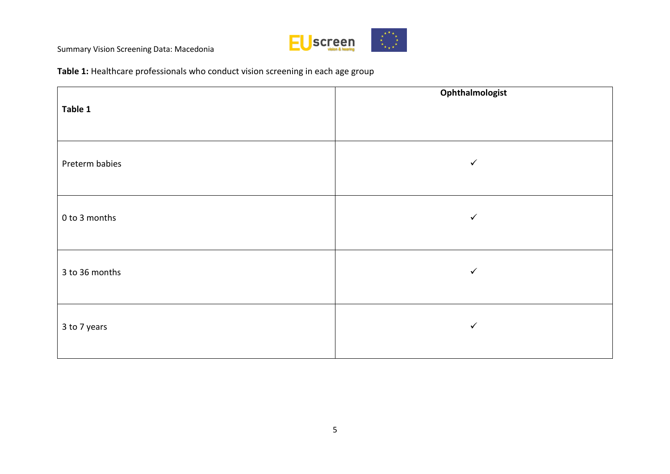

**Table 1:** Healthcare professionals who conduct vision screening in each age group

| Table 1        | Ophthalmologist |
|----------------|-----------------|
| Preterm babies | $\checkmark$    |
| 0 to 3 months  | $\checkmark$    |
| 3 to 36 months | $\checkmark$    |
| 3 to 7 years   | $\checkmark$    |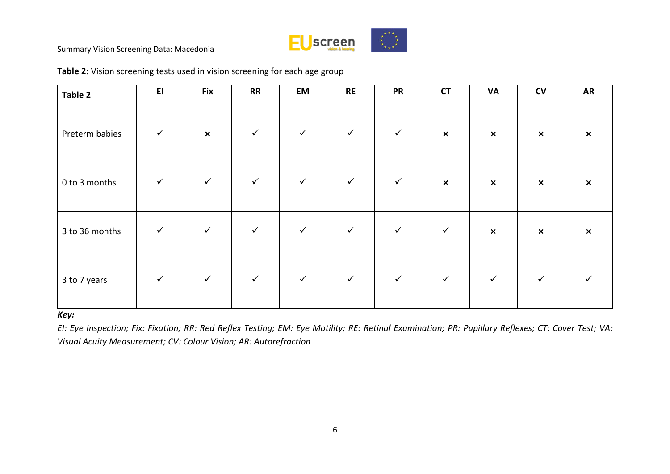

| Table 2        | E1           | <b>Fix</b>                | RR           | <b>EM</b>    | <b>RE</b>    | <b>PR</b>    | <b>CT</b>      | <b>VA</b>                 | ${\sf CV}$                | <b>AR</b>                 |
|----------------|--------------|---------------------------|--------------|--------------|--------------|--------------|----------------|---------------------------|---------------------------|---------------------------|
| Preterm babies | $\checkmark$ | $\boldsymbol{\mathsf{x}}$ | $\checkmark$ | $\checkmark$ | $\checkmark$ | $\checkmark$ | $\pmb{\times}$ | $\boldsymbol{\mathsf{x}}$ | $\pmb{\times}$            | $\boldsymbol{\mathsf{x}}$ |
| 0 to 3 months  | $\checkmark$ | $\checkmark$              | $\checkmark$ | $\checkmark$ | $\checkmark$ | $\checkmark$ | $\pmb{\times}$ | $\pmb{\times}$            | $\boldsymbol{\mathsf{x}}$ | $\boldsymbol{\mathsf{x}}$ |
| 3 to 36 months | $\checkmark$ | $\checkmark$              | $\checkmark$ | $\checkmark$ | $\checkmark$ | $\checkmark$ | $\checkmark$   | $\boldsymbol{\mathsf{x}}$ | $\pmb{\times}$            | $\boldsymbol{\mathsf{x}}$ |
| 3 to 7 years   | $\checkmark$ | $\checkmark$              | $\checkmark$ | $\checkmark$ | $\checkmark$ | $\checkmark$ | $\checkmark$   | $\checkmark$              | $\checkmark$              |                           |

**Table 2:** Vision screening tests used in vision screening for each age group

### *Key:*

*EI: Eye Inspection; Fix: Fixation; RR: Red Reflex Testing; EM: Eye Motility; RE: Retinal Examination; PR: Pupillary Reflexes; CT: Cover Test; VA: Visual Acuity Measurement; CV: Colour Vision; AR: Autorefraction*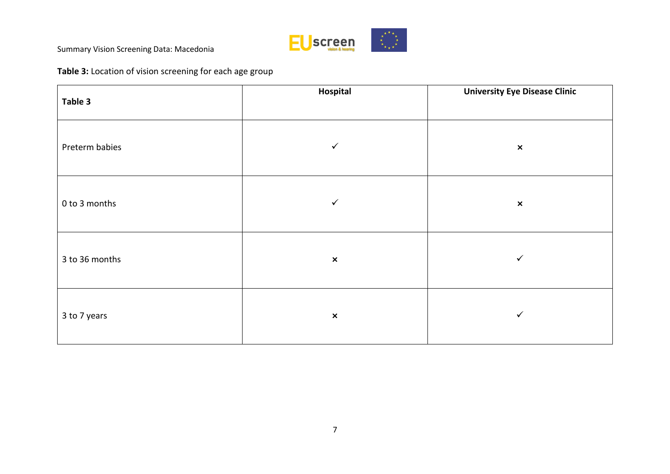

# **Table 3:** Location of vision screening for each age group

| Table 3        | Hospital       | <b>University Eye Disease Clinic</b> |
|----------------|----------------|--------------------------------------|
| Preterm babies | $\checkmark$   | $\pmb{\times}$                       |
| 0 to 3 months  | $\checkmark$   | $\pmb{\times}$                       |
| 3 to 36 months | $\pmb{\times}$ | $\checkmark$                         |
| 3 to 7 years   | $\pmb{\times}$ | $\checkmark$                         |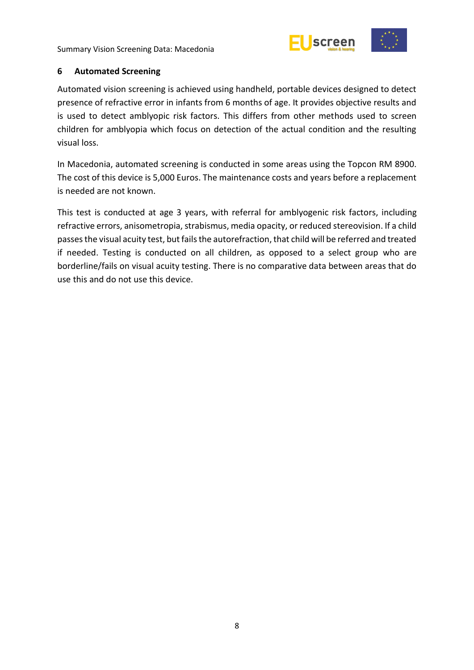



### <span id="page-13-0"></span>**6 Automated Screening**

Automated vision screening is achieved using handheld, portable devices designed to detect presence of refractive error in infants from 6 months of age. It provides objective results and is used to detect amblyopic risk factors. This differs from other methods used to screen children for amblyopia which focus on detection of the actual condition and the resulting visual loss.

In Macedonia, automated screening is conducted in some areas using the Topcon RM 8900. The cost of this device is 5,000 Euros. The maintenance costs and years before a replacement is needed are not known.

This test is conducted at age 3 years, with referral for amblyogenic risk factors, including refractive errors, anisometropia, strabismus, media opacity, or reduced stereovision. If a child passes the visual acuity test, but fails the autorefraction, that child will be referred and treated if needed. Testing is conducted on all children, as opposed to a select group who are borderline/fails on visual acuity testing. There is no comparative data between areas that do use this and do not use this device.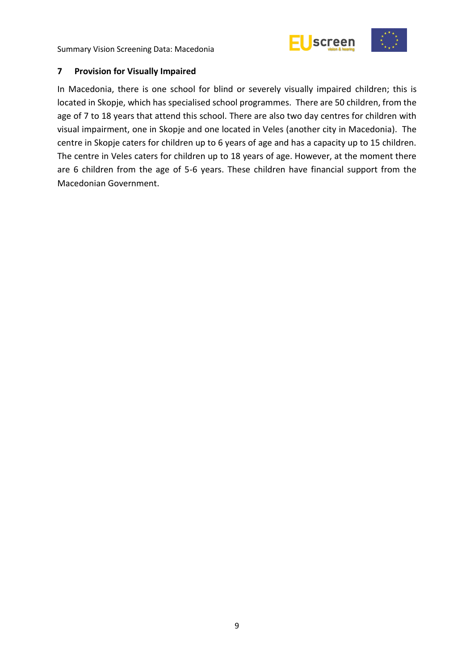



### <span id="page-14-0"></span>**7 Provision for Visually Impaired**

In Macedonia, there is one school for blind or severely visually impaired children; this is located in Skopje, which has specialised school programmes. There are 50 children, from the age of 7 to 18 years that attend this school. There are also two day centres for children with visual impairment, one in Skopje and one located in Veles (another city in Macedonia). The centre in Skopje caters for children up to 6 years of age and has a capacity up to 15 children. The centre in Veles caters for children up to 18 years of age. However, at the moment there are 6 children from the age of 5-6 years. These children have financial support from the Macedonian Government.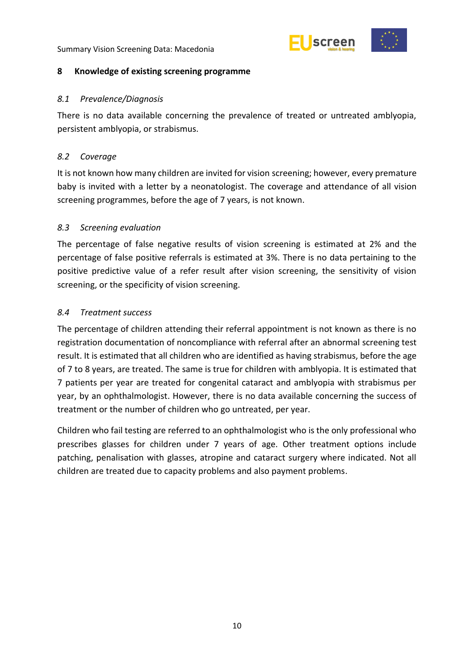

### <span id="page-15-0"></span>**8 Knowledge of existing screening programme**

### <span id="page-15-1"></span>*8.1 Prevalence/Diagnosis*

There is no data available concerning the prevalence of treated or untreated amblyopia, persistent amblyopia, or strabismus.

### <span id="page-15-2"></span>*8.2 Coverage*

It is not known how many children are invited for vision screening; however, every premature baby is invited with a letter by a neonatologist. The coverage and attendance of all vision screening programmes, before the age of 7 years, is not known.

### <span id="page-15-3"></span>*8.3 Screening evaluation*

The percentage of false negative results of vision screening is estimated at 2% and the percentage of false positive referrals is estimated at 3%. There is no data pertaining to the positive predictive value of a refer result after vision screening, the sensitivity of vision screening, or the specificity of vision screening.

### <span id="page-15-4"></span>*8.4 Treatment success*

The percentage of children attending their referral appointment is not known as there is no registration documentation of noncompliance with referral after an abnormal screening test result. It is estimated that all children who are identified as having strabismus, before the age of 7 to 8 years, are treated. The same is true for children with amblyopia. It is estimated that 7 patients per year are treated for congenital cataract and amblyopia with strabismus per year, by an ophthalmologist. However, there is no data available concerning the success of treatment or the number of children who go untreated, per year.

Children who fail testing are referred to an ophthalmologist who is the only professional who prescribes glasses for children under 7 years of age. Other treatment options include patching, penalisation with glasses, atropine and cataract surgery where indicated. Not all children are treated due to capacity problems and also payment problems.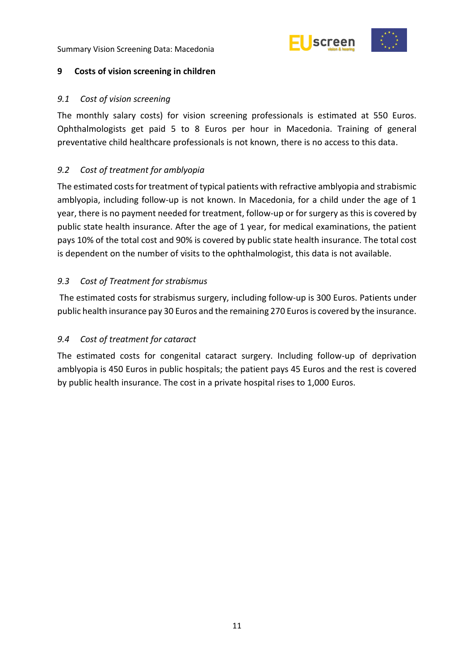

### <span id="page-16-0"></span>**9 Costs of vision screening in children**

### <span id="page-16-1"></span>*9.1 Cost of vision screening*

The monthly salary costs) for vision screening professionals is estimated at 550 Euros. Ophthalmologists get paid 5 to 8 Euros per hour in Macedonia. Training of general preventative child healthcare professionals is not known, there is no access to this data.

# <span id="page-16-2"></span>*9.2 Cost of treatment for amblyopia*

The estimated costs for treatment of typical patients with refractive amblyopia and strabismic amblyopia, including follow-up is not known. In Macedonia, for a child under the age of 1 year, there is no payment needed for treatment, follow-up or for surgery as this is covered by public state health insurance. After the age of 1 year, for medical examinations, the patient pays 10% of the total cost and 90% is covered by public state health insurance. The total cost is dependent on the number of visits to the ophthalmologist, this data is not available.

### <span id="page-16-3"></span>*9.3 Cost of Treatment for strabismus*

The estimated costs for strabismus surgery, including follow-up is 300 Euros. Patients under public health insurance pay 30 Euros and the remaining 270 Euros is covered by the insurance.

### <span id="page-16-4"></span>*9.4 Cost of treatment for cataract*

The estimated costs for congenital cataract surgery. Including follow-up of deprivation amblyopia is 450 Euros in public hospitals; the patient pays 45 Euros and the rest is covered by public health insurance. The cost in a private hospital rises to 1,000 Euros.